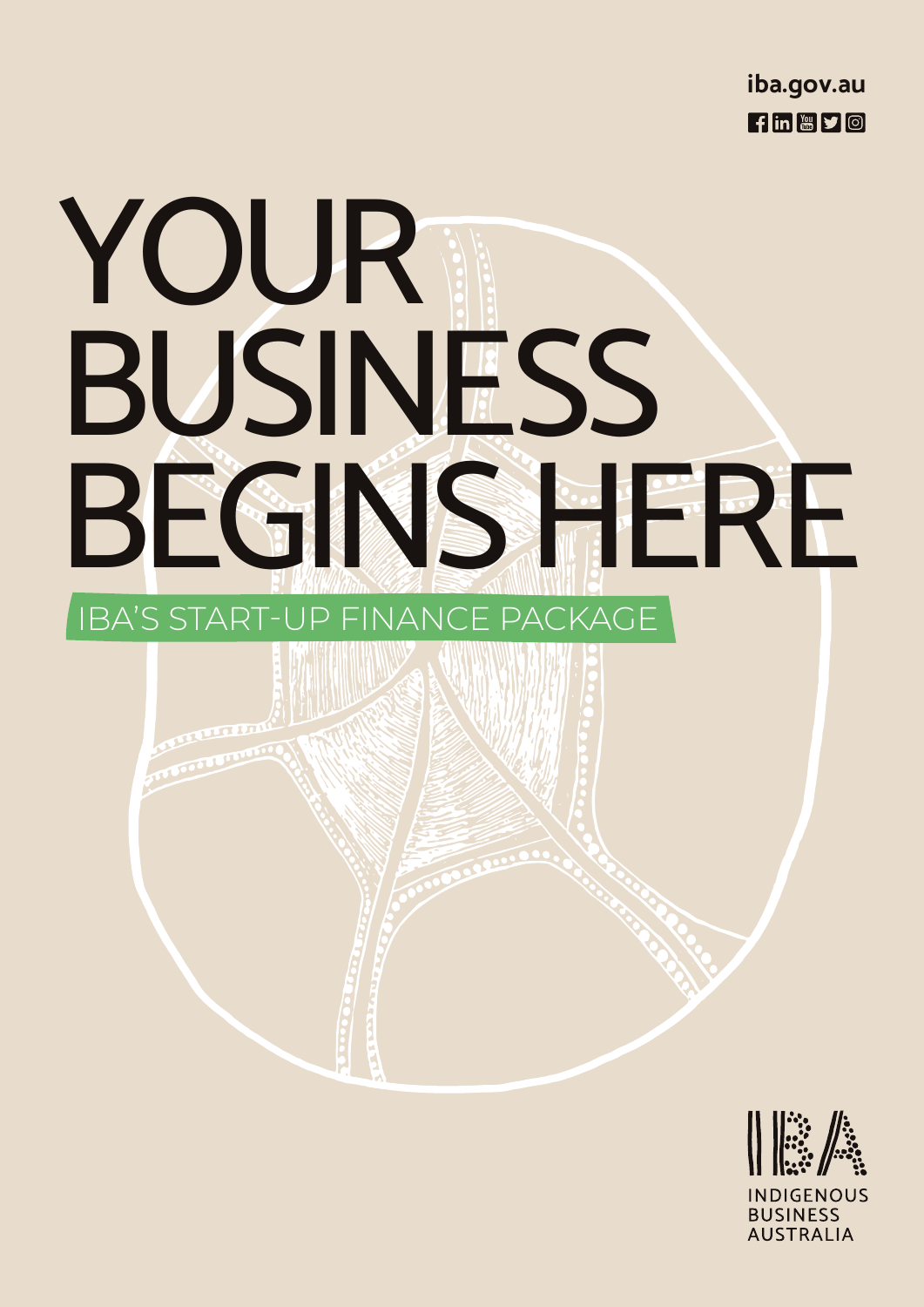

# YOUR BUSINESS BEGINS HERE IBA'S START-UP FINANCE PACKAGE